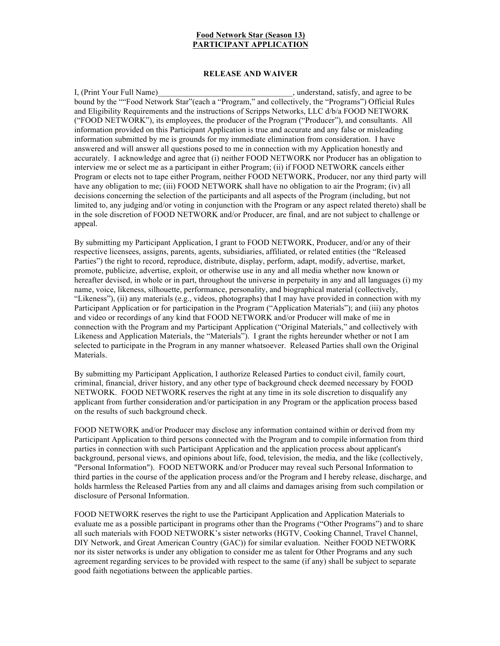## **Food Network Star (Season 13) PARTICIPANT APPLICATION**

## **RELEASE AND WAIVER**

I, (Print Your Full Name) with the stand, satisfy, and agree to be bound by the ""Food Network Star"(each a "Program," and collectively, the "Programs") Official Rules and Eligibility Requirements and the instructions of Scripps Networks, LLC d/b/a FOOD NETWORK ("FOOD NETWORK"), its employees, the producer of the Program ("Producer"), and consultants. All information provided on this Participant Application is true and accurate and any false or misleading information submitted by me is grounds for my immediate elimination from consideration. I have answered and will answer all questions posed to me in connection with my Application honestly and accurately. I acknowledge and agree that (i) neither FOOD NETWORK nor Producer has an obligation to interview me or select me as a participant in either Program; (ii) if FOOD NETWORK cancels either Program or elects not to tape either Program, neither FOOD NETWORK, Producer, nor any third party will have any obligation to me; (iii) FOOD NETWORK shall have no obligation to air the Program; (iv) all decisions concerning the selection of the participants and all aspects of the Program (including, but not limited to, any judging and/or voting in conjunction with the Program or any aspect related thereto) shall be in the sole discretion of FOOD NETWORK and/or Producer, are final, and are not subject to challenge or appeal.

By submitting my Participant Application, I grant to FOOD NETWORK, Producer, and/or any of their respective licensees, assigns, parents, agents, subsidiaries, affiliated, or related entities (the "Released Parties") the right to record, reproduce, distribute, display, perform, adapt, modify, advertise, market, promote, publicize, advertise, exploit, or otherwise use in any and all media whether now known or hereafter devised, in whole or in part, throughout the universe in perpetuity in any and all languages (i) my name, voice, likeness, silhouette, performance, personality, and biographical material (collectively, "Likeness"), (ii) any materials (e.g., videos, photographs) that I may have provided in connection with my Participant Application or for participation in the Program ("Application Materials"); and (iii) any photos and video or recordings of any kind that FOOD NETWORK and/or Producer will make of me in connection with the Program and my Participant Application ("Original Materials," and collectively with Likeness and Application Materials, the "Materials"). I grant the rights hereunder whether or not I am selected to participate in the Program in any manner whatsoever. Released Parties shall own the Original Materials.

By submitting my Participant Application, I authorize Released Parties to conduct civil, family court, criminal, financial, driver history, and any other type of background check deemed necessary by FOOD NETWORK. FOOD NETWORK reserves the right at any time in its sole discretion to disqualify any applicant from further consideration and/or participation in any Program or the application process based on the results of such background check.

FOOD NETWORK and/or Producer may disclose any information contained within or derived from my Participant Application to third persons connected with the Program and to compile information from third parties in connection with such Participant Application and the application process about applicant's background, personal views, and opinions about life, food, television, the media, and the like (collectively, "Personal Information"). FOOD NETWORK and/or Producer may reveal such Personal Information to third parties in the course of the application process and/or the Program and I hereby release, discharge, and holds harmless the Released Parties from any and all claims and damages arising from such compilation or disclosure of Personal Information.

FOOD NETWORK reserves the right to use the Participant Application and Application Materials to evaluate me as a possible participant in programs other than the Programs ("Other Programs") and to share all such materials with FOOD NETWORK's sister networks (HGTV, Cooking Channel, Travel Channel, DIY Network, and Great American Country (GAC)) for similar evaluation. Neither FOOD NETWORK nor its sister networks is under any obligation to consider me as talent for Other Programs and any such agreement regarding services to be provided with respect to the same (if any) shall be subject to separate good faith negotiations between the applicable parties.